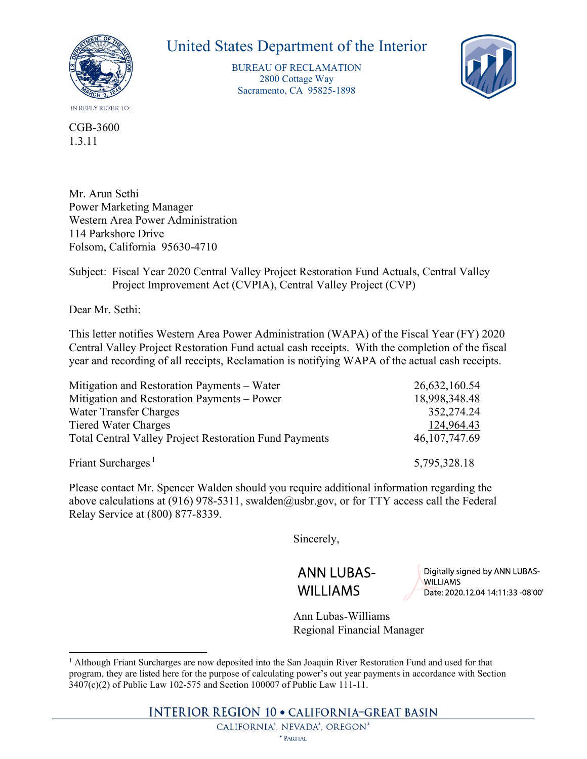

## United States Department of the Interior

BUREAU OF RECLAMATION 2800 Cottage Way Sacramento, CA 95825-1898



## Subject: Fiscal Year 2020 Central Valley Project Restoration Fund Actuals, Central Valley Project Improvement Act (CVPIA), Central Valley Project (CVP)

| CGB-3600<br>1.3.11                                                                                                                                                                                                                                                                              |                                |
|-------------------------------------------------------------------------------------------------------------------------------------------------------------------------------------------------------------------------------------------------------------------------------------------------|--------------------------------|
| Mr. Arun Sethi<br><b>Power Marketing Manager</b><br>Western Area Power Administration<br>114 Parkshore Drive                                                                                                                                                                                    |                                |
| Folsom, California 95630-4710                                                                                                                                                                                                                                                                   |                                |
| Subject: Fiscal Year 2020 Central Valley Project Restoration Fund Actuals, Central Valley<br>Project Improvement Act (CVPIA), Central Valley Project (CVP)                                                                                                                                      |                                |
| Dear Mr. Sethi:                                                                                                                                                                                                                                                                                 |                                |
| This letter notifies Western Area Power Administration (WAPA) of the Fiscal Year (FY) 2020<br>Central Valley Project Restoration Fund actual cash receipts. With the completion of the fiscal<br>year and recording of all receipts, Reclamation is notifying WAPA of the actual cash receipts. |                                |
| Mitigation and Restoration Payments - Water                                                                                                                                                                                                                                                     | 26,632,160.54                  |
| Mitigation and Restoration Payments - Power                                                                                                                                                                                                                                                     | 18,998,348.48                  |
| <b>Water Transfer Charges</b>                                                                                                                                                                                                                                                                   | 352,274.24                     |
| <b>Tiered Water Charges</b><br><b>Total Central Valley Project Restoration Fund Payments</b>                                                                                                                                                                                                    | 124,964.43<br>46, 107, 747. 69 |
| Friant Surcharges. <sup>1</sup>                                                                                                                                                                                                                                                                 | 5,795,328.18                   |
| Please contact Mr. Spencer Walden should you require additional information regarding the<br>above calculations at (916) 978-5311 swalden@usbr gov or for TTY access call the Federal                                                                                                           |                                |

Please contact Mr. Spencer Walden should you require additional information regarding the above calculations at (916) 978-5311, swalden@usbr.gov, or for TTY access call the Federal Relay Service at (800) 877-8339.

Sincerely,

**ANN LUBAS-WILLIAMS** 

Digitally signed by ANN LUBAS-**WILLIAMS** Date: 2020.12.04 14:11:33 -08'00'

Ann Lubas-Williams

**INTERIOR REGION 10 · CALIFORNIA-GREAT BASIN** 

CALIFORNIA<sup>\*</sup>, NEVADA<sup>\*</sup>, OREGON<sup>\*</sup>

Regional Financial Manager<br>
<sup>1</sup> Although Friant Surcharges are now deposited into the San Joaquin River Restoration Fund and used for that program, they are listed here for the purpose of calculating power's out year payments in accordance with Section 3407(c)(2) of Public Law 102-575 and Section 100007 of Public Law 111-11.